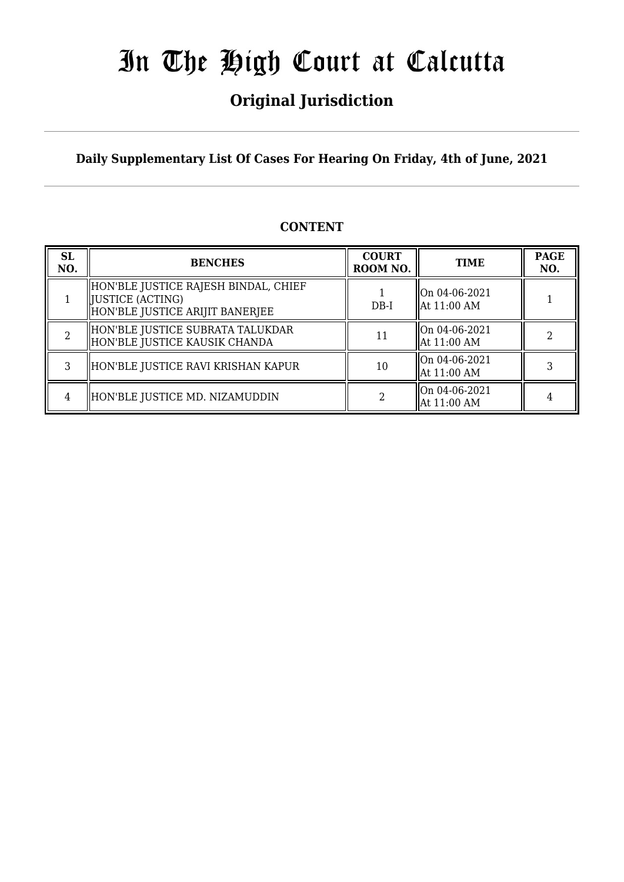## **Original Jurisdiction**

**Daily Supplementary List Of Cases For Hearing On Friday, 4th of June, 2021**

#### **CONTENT**

| <b>SL</b><br>NO. | <b>BENCHES</b>                                                                               | <b>COURT</b><br>ROOM NO. | <b>TIME</b>                                         | <b>PAGE</b><br>NO. |
|------------------|----------------------------------------------------------------------------------------------|--------------------------|-----------------------------------------------------|--------------------|
|                  | HON'BLE JUSTICE RAJESH BINDAL, CHIEF<br> JUSTICE (ACTING)<br>HON'BLE JUSTICE ARIJIT BANERJEE | $DB-I$                   | On 04-06-2021<br>$\parallel$ At 11:00 AM            |                    |
|                  | HON'BLE JUSTICE SUBRATA TALUKDAR<br>HON'BLE JUSTICE KAUSIK CHANDA                            |                          | On 04-06-2021<br>  At 11:00 AM                      |                    |
| 3                | HON'BLE JUSTICE RAVI KRISHAN KAPUR                                                           | 10                       | $\sqrt{\text{On } 04 - 06 - 2021}$<br>  At 11:00 AM |                    |
| 4                | HON'BLE JUSTICE MD. NIZAMUDDIN                                                               |                          | On 04-06-2021<br>  At 11:00 AM                      |                    |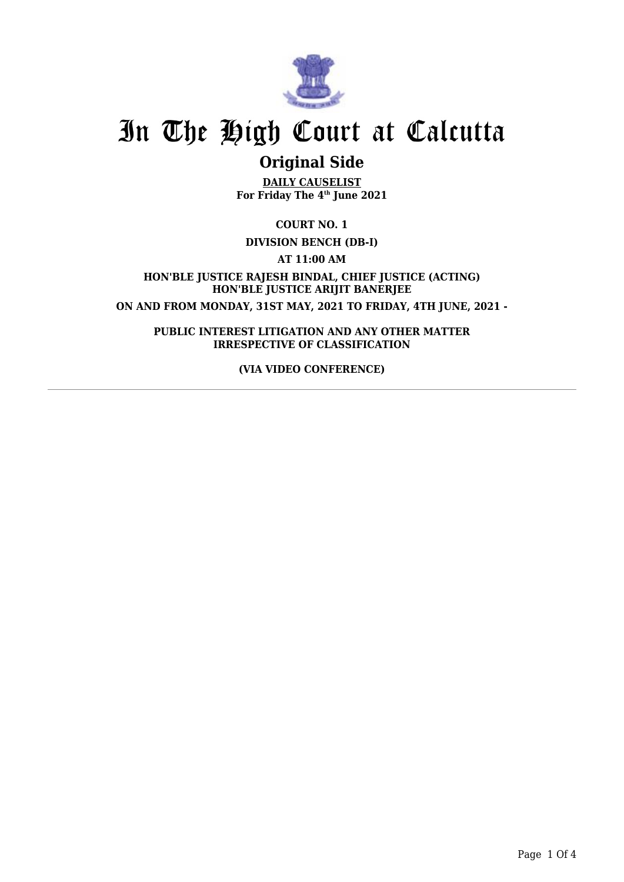

### **Original Side**

**DAILY CAUSELIST For Friday The 4th June 2021**

**COURT NO. 1**

#### **DIVISION BENCH (DB-I)**

**AT 11:00 AM**

**HON'BLE JUSTICE RAJESH BINDAL, CHIEF JUSTICE (ACTING) HON'BLE JUSTICE ARIJIT BANERJEE ON AND FROM MONDAY, 31ST MAY, 2021 TO FRIDAY, 4TH JUNE, 2021 -**

**PUBLIC INTEREST LITIGATION AND ANY OTHER MATTER IRRESPECTIVE OF CLASSIFICATION**

**(VIA VIDEO CONFERENCE)**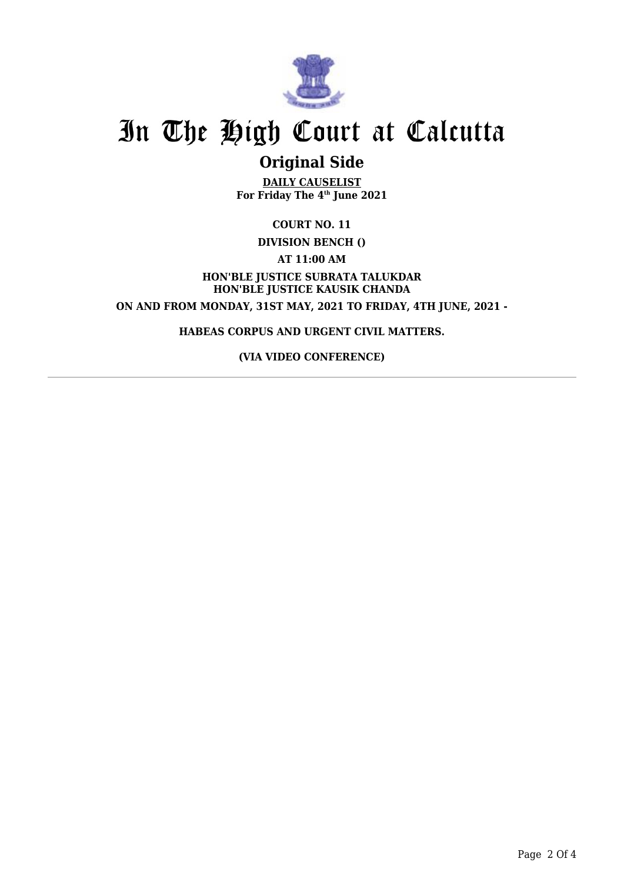

### **Original Side**

**DAILY CAUSELIST For Friday The 4th June 2021**

**COURT NO. 11**

**DIVISION BENCH ()**

**AT 11:00 AM**

**HON'BLE JUSTICE SUBRATA TALUKDAR HON'BLE JUSTICE KAUSIK CHANDA ON AND FROM MONDAY, 31ST MAY, 2021 TO FRIDAY, 4TH JUNE, 2021 -**

**HABEAS CORPUS AND URGENT CIVIL MATTERS.**

**(VIA VIDEO CONFERENCE)**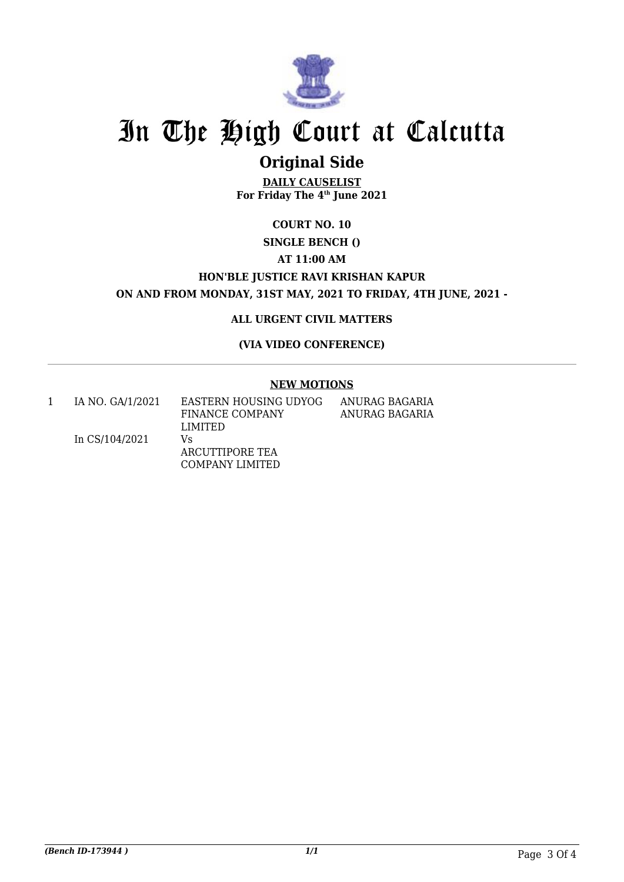

## **Original Side**

**DAILY CAUSELIST For Friday The 4th June 2021**

### **COURT NO. 10**

#### **SINGLE BENCH ()**

#### **AT 11:00 AM**

#### **HON'BLE JUSTICE RAVI KRISHAN KAPUR ON AND FROM MONDAY, 31ST MAY, 2021 TO FRIDAY, 4TH JUNE, 2021 -**

#### **ALL URGENT CIVIL MATTERS**

#### **(VIA VIDEO CONFERENCE)**

#### **NEW MOTIONS**

1 IA NO. GA/1/2021

EASTERN HOUSING UDYOG FINANCE COMPANY LIMITED

ANURAG BAGARIA ANURAG BAGARIA

In CS/104/2021 Vs ARCUTTIPORE TEA COMPANY LIMITED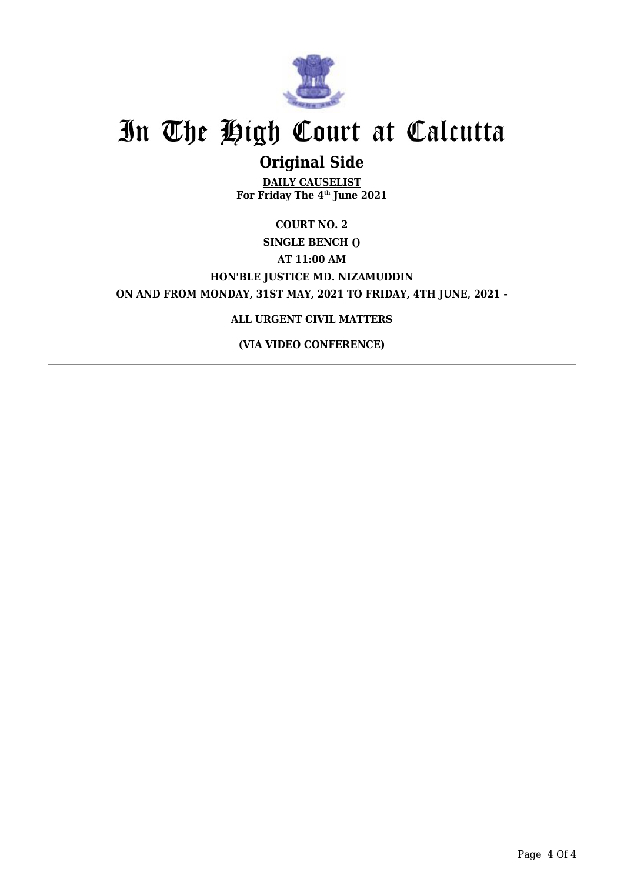

## **Original Side**

**DAILY CAUSELIST For Friday The 4th June 2021**

### **COURT NO. 2 SINGLE BENCH () AT 11:00 AM HON'BLE JUSTICE MD. NIZAMUDDIN ON AND FROM MONDAY, 31ST MAY, 2021 TO FRIDAY, 4TH JUNE, 2021 -**

#### **ALL URGENT CIVIL MATTERS**

**(VIA VIDEO CONFERENCE)**